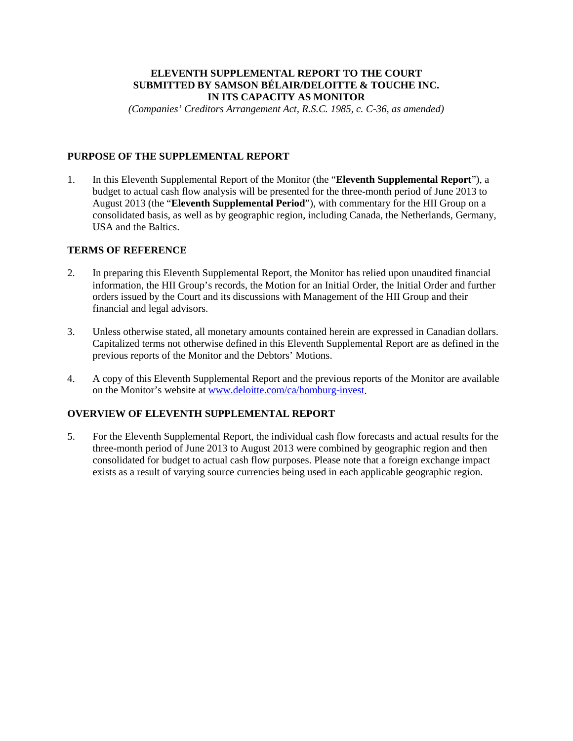### **ELEVENTH SUPPLEMENTAL REPORT TO THE COURT SUBMITTED BY SAMSON BÉLAIR/DELOITTE & TOUCHE INC. IN ITS CAPACITY AS MONITOR**

*(Companies' Creditors Arrangement Act, R.S.C. 1985, c. C-36, as amended)*

## **PURPOSE OF THE SUPPLEMENTAL REPORT**

1. In this Eleventh Supplemental Report of the Monitor (the "**Eleventh Supplemental Report**"), a budget to actual cash flow analysis will be presented for the three-month period of June 2013 to August 2013 (the "**Eleventh Supplemental Period**"), with commentary for the HII Group on a consolidated basis, as well as by geographic region, including Canada, the Netherlands, Germany, USA and the Baltics.

### **TERMS OF REFERENCE**

- 2. In preparing this Eleventh Supplemental Report, the Monitor has relied upon unaudited financial information, the HII Group's records, the Motion for an Initial Order, the Initial Order and further orders issued by the Court and its discussions with Management of the HII Group and their financial and legal advisors.
- 3. Unless otherwise stated, all monetary amounts contained herein are expressed in Canadian dollars. Capitalized terms not otherwise defined in this Eleventh Supplemental Report are as defined in the previous reports of the Monitor and the Debtors' Motions.
- 4. A copy of this Eleventh Supplemental Report and the previous reports of the Monitor are available on the Monitor's website at [www.deloitte.com/ca/homburg-invest.](http://www.deloitte.com/ca/homburg-invest)

### **OVERVIEW OF ELEVENTH SUPPLEMENTAL REPORT**

5. For the Eleventh Supplemental Report, the individual cash flow forecasts and actual results for the three-month period of June 2013 to August 2013 were combined by geographic region and then consolidated for budget to actual cash flow purposes. Please note that a foreign exchange impact exists as a result of varying source currencies being used in each applicable geographic region.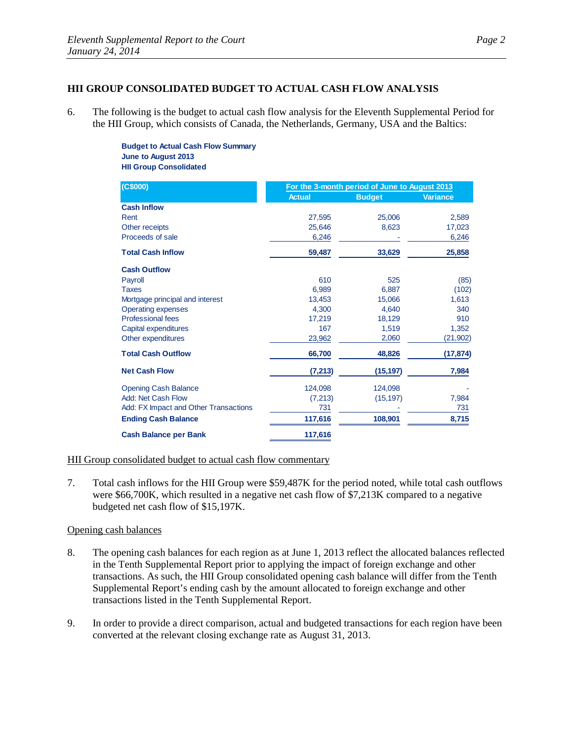## **HII GROUP CONSOLIDATED BUDGET TO ACTUAL CASH FLOW ANALYSIS**

6. The following is the budget to actual cash flow analysis for the Eleventh Supplemental Period for the HII Group, which consists of Canada, the Netherlands, Germany, USA and the Baltics:

> **Budget to Actual Cash Flow Summary June to August 2013 HII Group Consolidated**

| (C\$000)                              | For the 3-month period of June to August 2013 |               |                 |
|---------------------------------------|-----------------------------------------------|---------------|-----------------|
|                                       | <b>Actual</b>                                 | <b>Budget</b> | <b>Variance</b> |
| <b>Cash Inflow</b>                    |                                               |               |                 |
| Rent                                  | 27,595                                        | 25,006        | 2,589           |
| Other receipts                        | 25,646                                        | 8,623         | 17,023          |
| Proceeds of sale                      | 6,246                                         |               | 6,246           |
| <b>Total Cash Inflow</b>              | 59,487                                        | 33,629        | 25,858          |
| <b>Cash Outflow</b>                   |                                               |               |                 |
| Payroll                               | 610                                           | 525           | (85)            |
| <b>Taxes</b>                          | 6.989                                         | 6,887         | (102)           |
| Mortgage principal and interest       | 13,453                                        | 15,066        | 1,613           |
| <b>Operating expenses</b>             | 4.300                                         | 4,640         | 340             |
| <b>Professional fees</b>              | 17,219                                        | 18,129        | 910             |
| Capital expenditures                  | 167                                           | 1,519         | 1,352           |
| Other expenditures                    | 23,962                                        | 2,060         | (21, 902)       |
| <b>Total Cash Outflow</b>             | 66,700                                        | 48,826        | (17, 874)       |
| <b>Net Cash Flow</b>                  | (7, 213)                                      | (15, 197)     | 7,984           |
| <b>Opening Cash Balance</b>           | 124,098                                       | 124,098       |                 |
| Add: Net Cash Flow                    | (7,213)                                       | (15, 197)     | 7,984           |
| Add: FX Impact and Other Transactions | 731                                           |               | 731             |
| <b>Ending Cash Balance</b>            | 117,616                                       | 108,901       | 8,715           |
| <b>Cash Balance per Bank</b>          | 117,616                                       |               |                 |

### HII Group consolidated budget to actual cash flow commentary

7. Total cash inflows for the HII Group were \$59,487K for the period noted, while total cash outflows were \$66,700K, which resulted in a negative net cash flow of \$7,213K compared to a negative budgeted net cash flow of \$15,197K.

### Opening cash balances

- 8. The opening cash balances for each region as at June 1, 2013 reflect the allocated balances reflected in the Tenth Supplemental Report prior to applying the impact of foreign exchange and other transactions. As such, the HII Group consolidated opening cash balance will differ from the Tenth Supplemental Report's ending cash by the amount allocated to foreign exchange and other transactions listed in the Tenth Supplemental Report.
- 9. In order to provide a direct comparison, actual and budgeted transactions for each region have been converted at the relevant closing exchange rate as August 31, 2013.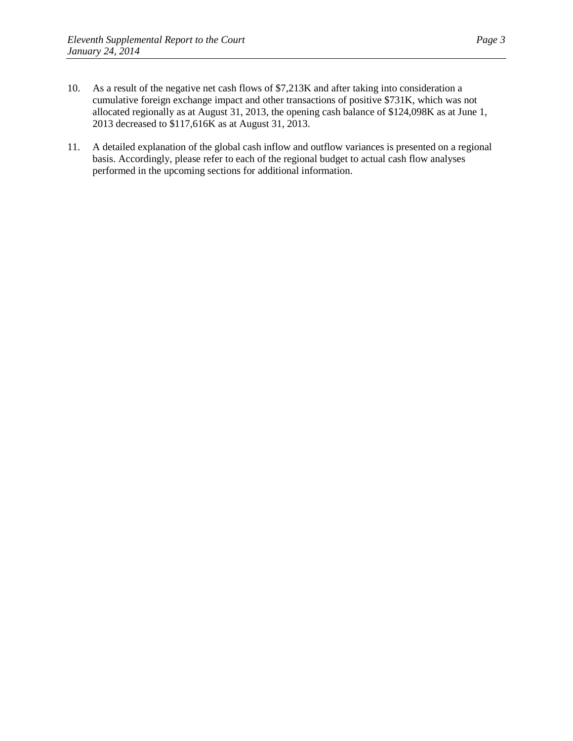- 10. As a result of the negative net cash flows of \$7,213K and after taking into consideration a cumulative foreign exchange impact and other transactions of positive \$731K, which was not allocated regionally as at August 31, 2013, the opening cash balance of \$124,098K as at June 1, 2013 decreased to \$117,616K as at August 31, 2013.
- 11. A detailed explanation of the global cash inflow and outflow variances is presented on a regional basis. Accordingly, please refer to each of the regional budget to actual cash flow analyses performed in the upcoming sections for additional information.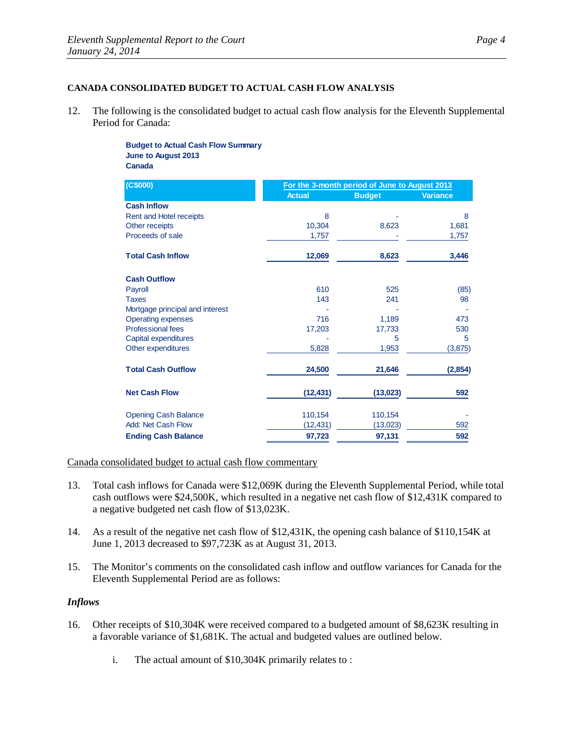#### **CANADA CONSOLIDATED BUDGET TO ACTUAL CASH FLOW ANALYSIS**

12. The following is the consolidated budget to actual cash flow analysis for the Eleventh Supplemental Period for Canada:

> **Budget to Actual Cash Flow Summary June to August 2013 Canada**

| (C\$000)                        | For the 3-month period of June to August 2013 |               |                 |
|---------------------------------|-----------------------------------------------|---------------|-----------------|
|                                 | <b>Actual</b>                                 | <b>Budget</b> | <b>Variance</b> |
| <b>Cash Inflow</b>              |                                               |               |                 |
| Rent and Hotel receipts         | 8                                             |               | 8               |
| Other receipts                  | 10,304                                        | 8,623         | 1,681           |
| Proceeds of sale                | 1,757                                         |               | 1,757           |
| <b>Total Cash Inflow</b>        | 12,069                                        | 8,623         | 3,446           |
| <b>Cash Outflow</b>             |                                               |               |                 |
| Payroll                         | 610                                           | 525           | (85)            |
| <b>Taxes</b>                    | 143                                           | 241           | 98              |
| Mortgage principal and interest |                                               |               |                 |
| <b>Operating expenses</b>       | 716                                           | 1,189         | 473             |
| <b>Professional fees</b>        | 17,203                                        | 17,733        | 530             |
| Capital expenditures            |                                               | 5             | 5               |
| Other expenditures              | 5,828                                         | 1,953         | (3,875)         |
| <b>Total Cash Outflow</b>       | 24,500                                        | 21,646        | (2,854)         |
| <b>Net Cash Flow</b>            | (12, 431)                                     | (13, 023)     | 592             |
| <b>Opening Cash Balance</b>     | 110,154                                       | 110.154       |                 |
| Add: Net Cash Flow              | (12,431)                                      | (13,023)      | 592             |
| <b>Ending Cash Balance</b>      | 97,723                                        | 97,131        | 592             |

Canada consolidated budget to actual cash flow commentary

- 13. Total cash inflows for Canada were \$12,069K during the Eleventh Supplemental Period, while total cash outflows were \$24,500K, which resulted in a negative net cash flow of \$12,431K compared to a negative budgeted net cash flow of \$13,023K.
- 14. As a result of the negative net cash flow of \$12,431K, the opening cash balance of \$110,154K at June 1, 2013 decreased to \$97,723K as at August 31, 2013.
- 15. The Monitor's comments on the consolidated cash inflow and outflow variances for Canada for the Eleventh Supplemental Period are as follows:

### *Inflows*

- 16. Other receipts of \$10,304K were received compared to a budgeted amount of \$8,623K resulting in a favorable variance of \$1,681K. The actual and budgeted values are outlined below.
	- i. The actual amount of \$10,304K primarily relates to :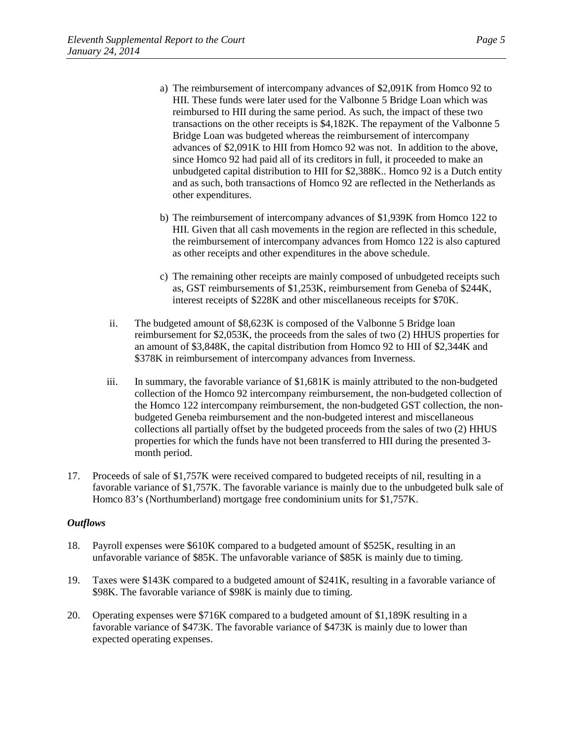- a) The reimbursement of intercompany advances of \$2,091K from Homco 92 to HII. These funds were later used for the Valbonne 5 Bridge Loan which was reimbursed to HII during the same period. As such, the impact of these two transactions on the other receipts is \$4,182K. The repayment of the Valbonne 5 Bridge Loan was budgeted whereas the reimbursement of intercompany advances of \$2,091K to HII from Homco 92 was not. In addition to the above, since Homco 92 had paid all of its creditors in full, it proceeded to make an unbudgeted capital distribution to HII for \$2,388K.. Homco 92 is a Dutch entity and as such, both transactions of Homco 92 are reflected in the Netherlands as other expenditures.
- b) The reimbursement of intercompany advances of \$1,939K from Homco 122 to HII. Given that all cash movements in the region are reflected in this schedule, the reimbursement of intercompany advances from Homco 122 is also captured as other receipts and other expenditures in the above schedule.
- c) The remaining other receipts are mainly composed of unbudgeted receipts such as, GST reimbursements of \$1,253K, reimbursement from Geneba of \$244K, interest receipts of \$228K and other miscellaneous receipts for \$70K.
- ii. The budgeted amount of \$8,623K is composed of the Valbonne 5 Bridge loan reimbursement for \$2,053K, the proceeds from the sales of two (2) HHUS properties for an amount of \$3,848K, the capital distribution from Homco 92 to HII of \$2,344K and \$378K in reimbursement of intercompany advances from Inverness.
- iii. In summary, the favorable variance of \$1,681K is mainly attributed to the non-budgeted collection of the Homco 92 intercompany reimbursement, the non-budgeted collection of the Homco 122 intercompany reimbursement, the non-budgeted GST collection, the nonbudgeted Geneba reimbursement and the non-budgeted interest and miscellaneous collections all partially offset by the budgeted proceeds from the sales of two (2) HHUS properties for which the funds have not been transferred to HII during the presented 3 month period.
- 17. Proceeds of sale of \$1,757K were received compared to budgeted receipts of nil, resulting in a favorable variance of \$1,757K. The favorable variance is mainly due to the unbudgeted bulk sale of Homco 83's (Northumberland) mortgage free condominium units for \$1,757K.

- 18. Payroll expenses were \$610K compared to a budgeted amount of \$525K, resulting in an unfavorable variance of \$85K. The unfavorable variance of \$85K is mainly due to timing.
- 19. Taxes were \$143K compared to a budgeted amount of \$241K, resulting in a favorable variance of \$98K. The favorable variance of \$98K is mainly due to timing.
- 20. Operating expenses were \$716K compared to a budgeted amount of \$1,189K resulting in a favorable variance of \$473K. The favorable variance of \$473K is mainly due to lower than expected operating expenses.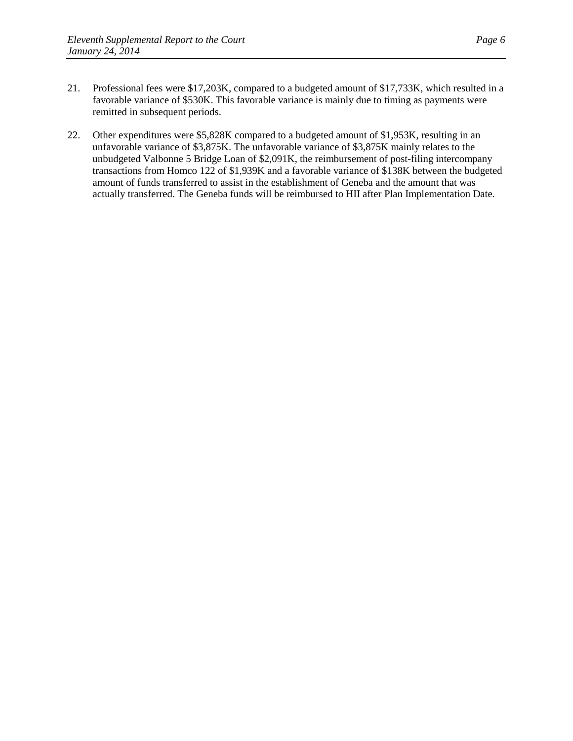- 21. Professional fees were \$17,203K, compared to a budgeted amount of \$17,733K, which resulted in a favorable variance of \$530K. This favorable variance is mainly due to timing as payments were remitted in subsequent periods.
- 22. Other expenditures were \$5,828K compared to a budgeted amount of \$1,953K, resulting in an unfavorable variance of \$3,875K. The unfavorable variance of \$3,875K mainly relates to the unbudgeted Valbonne 5 Bridge Loan of \$2,091K, the reimbursement of post-filing intercompany transactions from Homco 122 of \$1,939K and a favorable variance of \$138K between the budgeted amount of funds transferred to assist in the establishment of Geneba and the amount that was actually transferred. The Geneba funds will be reimbursed to HII after Plan Implementation Date.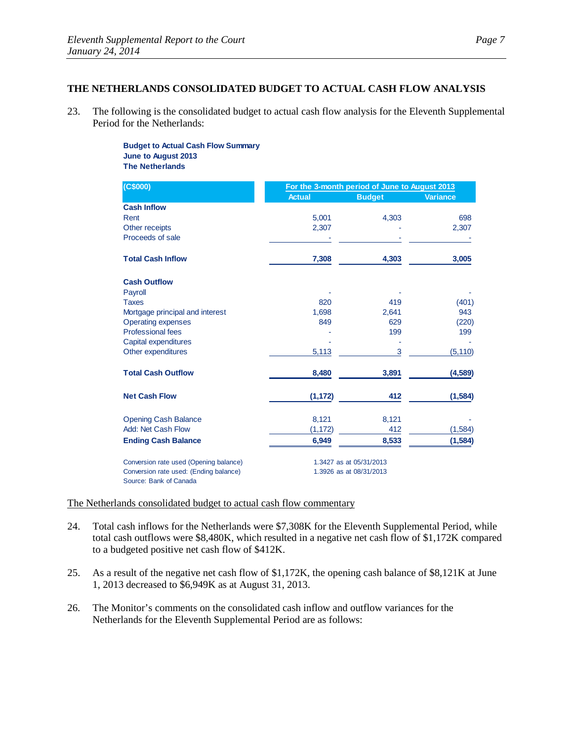#### **THE NETHERLANDS CONSOLIDATED BUDGET TO ACTUAL CASH FLOW ANALYSIS**

23. The following is the consolidated budget to actual cash flow analysis for the Eleventh Supplemental Period for the Netherlands:

> **Budget to Actual Cash Flow Summary June to August 2013 The Netherlands**

| (C\$000)                                                         | For the 3-month period of June to August 2013 |                         |                 |
|------------------------------------------------------------------|-----------------------------------------------|-------------------------|-----------------|
|                                                                  | <b>Actual</b>                                 | <b>Budget</b>           | <b>Variance</b> |
| <b>Cash Inflow</b>                                               |                                               |                         |                 |
| Rent                                                             | 5,001                                         | 4,303                   | 698             |
| Other receipts                                                   | 2,307                                         |                         | 2,307           |
| Proceeds of sale                                                 |                                               |                         |                 |
| <b>Total Cash Inflow</b>                                         | 7,308                                         | 4,303                   | 3,005           |
| <b>Cash Outflow</b>                                              |                                               |                         |                 |
| Payroll                                                          |                                               |                         |                 |
| <b>Taxes</b>                                                     | 820                                           | 419                     | (401)           |
| Mortgage principal and interest                                  | 1,698                                         | 2,641                   | 943             |
| <b>Operating expenses</b>                                        | 849                                           | 629                     | (220)           |
| <b>Professional fees</b>                                         |                                               | 199                     | 199             |
| Capital expenditures                                             |                                               |                         |                 |
| Other expenditures                                               | 5,113                                         | 3                       | (5, 110)        |
| <b>Total Cash Outflow</b>                                        | 8,480                                         | 3,891                   | (4,589)         |
| <b>Net Cash Flow</b>                                             | (1, 172)                                      | 412                     | (1,584)         |
| <b>Opening Cash Balance</b>                                      | 8,121                                         | 8,121                   |                 |
| Add: Net Cash Flow                                               | (1, 172)                                      | 412                     | (1,584)         |
| <b>Ending Cash Balance</b>                                       | 6,949                                         | 8,533                   | (1, 584)        |
| Conversion rate used (Opening balance)                           |                                               | 1.3427 as at 05/31/2013 |                 |
| Conversion rate used: (Ending balance)<br>Source: Bank of Canada |                                               | 1.3926 as at 08/31/2013 |                 |

#### The Netherlands consolidated budget to actual cash flow commentary

- 24. Total cash inflows for the Netherlands were \$7,308K for the Eleventh Supplemental Period, while total cash outflows were \$8,480K, which resulted in a negative net cash flow of \$1,172K compared to a budgeted positive net cash flow of \$412K.
- 25. As a result of the negative net cash flow of \$1,172K, the opening cash balance of \$8,121K at June 1, 2013 decreased to \$6,949K as at August 31, 2013.
- 26. The Monitor's comments on the consolidated cash inflow and outflow variances for the Netherlands for the Eleventh Supplemental Period are as follows: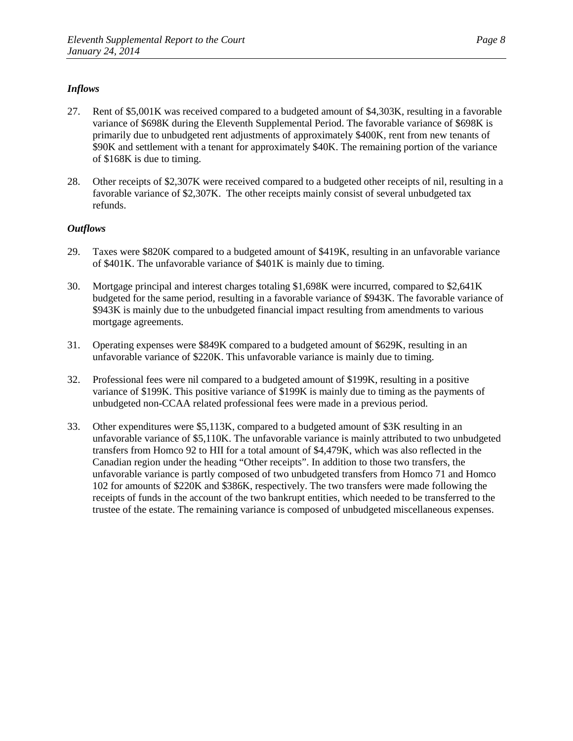## *Inflows*

- 27. Rent of \$5,001K was received compared to a budgeted amount of \$4,303K, resulting in a favorable variance of \$698K during the Eleventh Supplemental Period. The favorable variance of \$698K is primarily due to unbudgeted rent adjustments of approximately \$400K, rent from new tenants of \$90K and settlement with a tenant for approximately \$40K. The remaining portion of the variance of \$168K is due to timing.
- 28. Other receipts of \$2,307K were received compared to a budgeted other receipts of nil, resulting in a favorable variance of \$2,307K. The other receipts mainly consist of several unbudgeted tax refunds.

- 29. Taxes were \$820K compared to a budgeted amount of \$419K, resulting in an unfavorable variance of \$401K. The unfavorable variance of \$401K is mainly due to timing.
- 30. Mortgage principal and interest charges totaling \$1,698K were incurred, compared to \$2,641K budgeted for the same period, resulting in a favorable variance of \$943K. The favorable variance of \$943K is mainly due to the unbudgeted financial impact resulting from amendments to various mortgage agreements.
- 31. Operating expenses were \$849K compared to a budgeted amount of \$629K, resulting in an unfavorable variance of \$220K. This unfavorable variance is mainly due to timing.
- 32. Professional fees were nil compared to a budgeted amount of \$199K, resulting in a positive variance of \$199K. This positive variance of \$199K is mainly due to timing as the payments of unbudgeted non-CCAA related professional fees were made in a previous period.
- 33. Other expenditures were \$5,113K, compared to a budgeted amount of \$3K resulting in an unfavorable variance of \$5,110K. The unfavorable variance is mainly attributed to two unbudgeted transfers from Homco 92 to HII for a total amount of \$4,479K, which was also reflected in the Canadian region under the heading "Other receipts". In addition to those two transfers, the unfavorable variance is partly composed of two unbudgeted transfers from Homco 71 and Homco 102 for amounts of \$220K and \$386K, respectively. The two transfers were made following the receipts of funds in the account of the two bankrupt entities, which needed to be transferred to the trustee of the estate. The remaining variance is composed of unbudgeted miscellaneous expenses.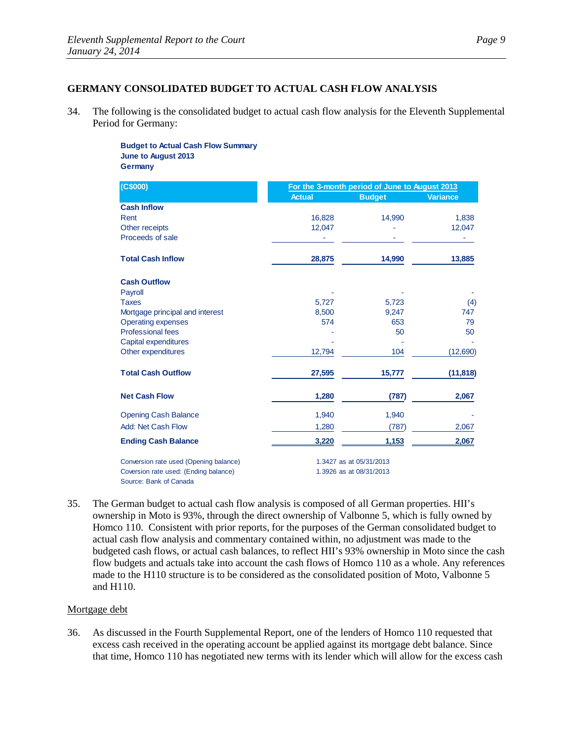#### **GERMANY CONSOLIDATED BUDGET TO ACTUAL CASH FLOW ANALYSIS**

34. The following is the consolidated budget to actual cash flow analysis for the Eleventh Supplemental Period for Germany:

> **Budget to Actual Cash Flow Summary June to August 2013 Germany**

| (C\$000)                               | For the 3-month period of June to August 2013 |                         |                 |
|----------------------------------------|-----------------------------------------------|-------------------------|-----------------|
|                                        | <b>Actual</b>                                 | <b>Budget</b>           | <b>Variance</b> |
| <b>Cash Inflow</b>                     |                                               |                         |                 |
| Rent                                   | 16,828                                        | 14,990                  | 1,838           |
| Other receipts                         | 12,047                                        |                         | 12,047          |
| Proceeds of sale                       |                                               |                         |                 |
| <b>Total Cash Inflow</b>               | 28,875                                        | 14,990                  | 13,885          |
| <b>Cash Outflow</b>                    |                                               |                         |                 |
| Payroll                                |                                               |                         |                 |
| <b>Taxes</b>                           | 5,727                                         | 5,723                   | (4)             |
| Mortgage principal and interest        | 8,500                                         | 9,247                   | 747             |
| <b>Operating expenses</b>              | 574                                           | 653                     | 79              |
| <b>Professional fees</b>               |                                               | 50                      | 50              |
| Capital expenditures                   |                                               |                         |                 |
| Other expenditures                     | 12,794                                        | 104                     | (12,690)        |
| <b>Total Cash Outflow</b>              | 27,595                                        | 15,777                  | (11, 818)       |
| <b>Net Cash Flow</b>                   | 1,280                                         | (787)                   | 2,067           |
| <b>Opening Cash Balance</b>            | 1,940                                         | 1,940                   |                 |
| Add: Net Cash Flow                     | 1,280                                         | (787)                   | 2,067           |
| <b>Ending Cash Balance</b>             | 3,220                                         | 1,153                   | 2,067           |
| Conversion rate used (Opening balance) | 1.3427 as at 05/31/2013                       |                         |                 |
| Coversion rate used: (Ending balance)  |                                               | 1.3926 as at 08/31/2013 |                 |
| Source: Bank of Canada                 |                                               |                         |                 |

35. The German budget to actual cash flow analysis is composed of all German properties. HII's ownership in Moto is 93%, through the direct ownership of Valbonne 5, which is fully owned by Homco 110. Consistent with prior reports, for the purposes of the German consolidated budget to actual cash flow analysis and commentary contained within, no adjustment was made to the budgeted cash flows, or actual cash balances, to reflect HII's 93% ownership in Moto since the cash flow budgets and actuals take into account the cash flows of Homco 110 as a whole. Any references made to the H110 structure is to be considered as the consolidated position of Moto, Valbonne 5 and H110.

#### Mortgage debt

36. As discussed in the Fourth Supplemental Report, one of the lenders of Homco 110 requested that excess cash received in the operating account be applied against its mortgage debt balance. Since that time, Homco 110 has negotiated new terms with its lender which will allow for the excess cash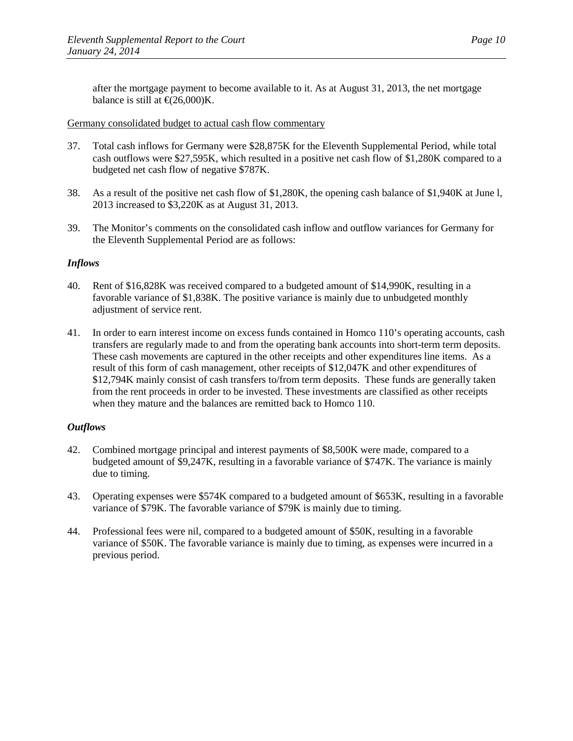after the mortgage payment to become available to it. As at August 31, 2013, the net mortgage balance is still at  $\text{\textsterling}26,000$ )K.

#### Germany consolidated budget to actual cash flow commentary

- 37. Total cash inflows for Germany were \$28,875K for the Eleventh Supplemental Period, while total cash outflows were \$27,595K, which resulted in a positive net cash flow of \$1,280K compared to a budgeted net cash flow of negative \$787K.
- 38. As a result of the positive net cash flow of \$1,280K, the opening cash balance of \$1,940K at June l, 2013 increased to \$3,220K as at August 31, 2013.
- 39. The Monitor's comments on the consolidated cash inflow and outflow variances for Germany for the Eleventh Supplemental Period are as follows:

### *Inflows*

- 40. Rent of \$16,828K was received compared to a budgeted amount of \$14,990K, resulting in a favorable variance of \$1,838K. The positive variance is mainly due to unbudgeted monthly adjustment of service rent.
- 41. In order to earn interest income on excess funds contained in Homco 110's operating accounts, cash transfers are regularly made to and from the operating bank accounts into short-term term deposits. These cash movements are captured in the other receipts and other expenditures line items. As a result of this form of cash management, other receipts of \$12,047K and other expenditures of \$12,794K mainly consist of cash transfers to/from term deposits. These funds are generally taken from the rent proceeds in order to be invested. These investments are classified as other receipts when they mature and the balances are remitted back to Homco 110.

- 42. Combined mortgage principal and interest payments of \$8,500K were made, compared to a budgeted amount of \$9,247K, resulting in a favorable variance of \$747K. The variance is mainly due to timing.
- 43. Operating expenses were \$574K compared to a budgeted amount of \$653K, resulting in a favorable variance of \$79K. The favorable variance of \$79K is mainly due to timing.
- 44. Professional fees were nil, compared to a budgeted amount of \$50K, resulting in a favorable variance of \$50K. The favorable variance is mainly due to timing, as expenses were incurred in a previous period.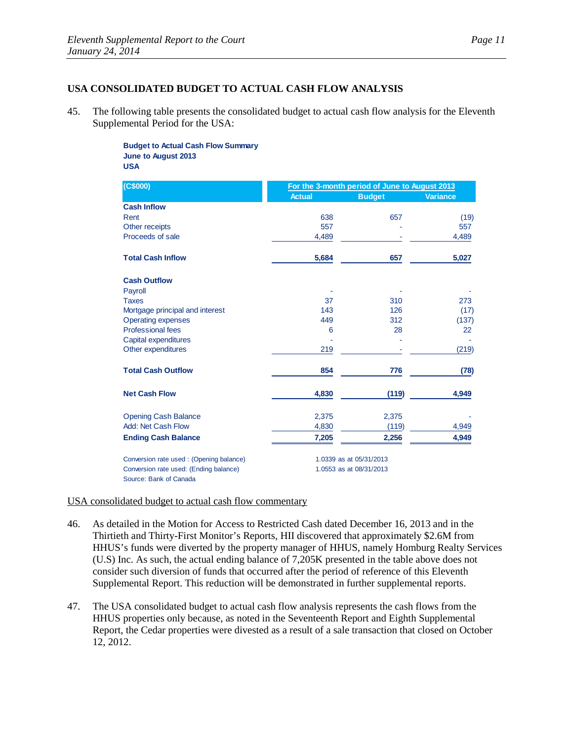### **USA CONSOLIDATED BUDGET TO ACTUAL CASH FLOW ANALYSIS**

45. The following table presents the consolidated budget to actual cash flow analysis for the Eleventh Supplemental Period for the USA:

> **Budget to Actual Cash Flow Summary June to August 2013 USA**

| (C\$000)                                | For the 3-month period of June to August 2013 |                         |                 |
|-----------------------------------------|-----------------------------------------------|-------------------------|-----------------|
|                                         | <b>Actual</b>                                 | <b>Budget</b>           | <b>Variance</b> |
| <b>Cash Inflow</b>                      |                                               |                         |                 |
| Rent                                    | 638                                           | 657                     | (19)            |
| Other receipts                          | 557                                           |                         | 557             |
| Proceeds of sale                        | 4,489                                         |                         | 4,489           |
| <b>Total Cash Inflow</b>                | 5,684                                         | 657                     | 5,027           |
| <b>Cash Outflow</b>                     |                                               |                         |                 |
| Payroll                                 |                                               |                         |                 |
| <b>Taxes</b>                            | 37                                            | 310                     | 273             |
| Mortgage principal and interest         | 143                                           | 126                     | (17)            |
| <b>Operating expenses</b>               | 449                                           | 312                     | (137)           |
| <b>Professional fees</b>                | 6                                             | 28                      | 22              |
| Capital expenditures                    |                                               |                         |                 |
| Other expenditures                      | 219                                           |                         | (219)           |
| <b>Total Cash Outflow</b>               | 854                                           | 776                     | (78)            |
| <b>Net Cash Flow</b>                    | 4,830                                         | (119)                   | 4,949           |
| <b>Opening Cash Balance</b>             | 2,375                                         | 2,375                   |                 |
| Add: Net Cash Flow                      | 4,830                                         | (119)                   | 4,949           |
| <b>Ending Cash Balance</b>              | 7,205                                         | 2,256                   | 4,949           |
| Conversion rate used: (Opening balance) |                                               | 1.0339 as at 05/31/2013 |                 |
| Conversion rate used: (Ending balance)  |                                               | 1.0553 as at 08/31/2013 |                 |
| Source: Bank of Canada                  |                                               |                         |                 |

#### USA consolidated budget to actual cash flow commentary

- 46. As detailed in the Motion for Access to Restricted Cash dated December 16, 2013 and in the Thirtieth and Thirty-First Monitor's Reports, HII discovered that approximately \$2.6M from HHUS's funds were diverted by the property manager of HHUS, namely Homburg Realty Services (U.S) Inc. As such, the actual ending balance of 7,205K presented in the table above does not consider such diversion of funds that occurred after the period of reference of this Eleventh Supplemental Report. This reduction will be demonstrated in further supplemental reports.
- 47. The USA consolidated budget to actual cash flow analysis represents the cash flows from the HHUS properties only because, as noted in the Seventeenth Report and Eighth Supplemental Report, the Cedar properties were divested as a result of a sale transaction that closed on October 12, 2012.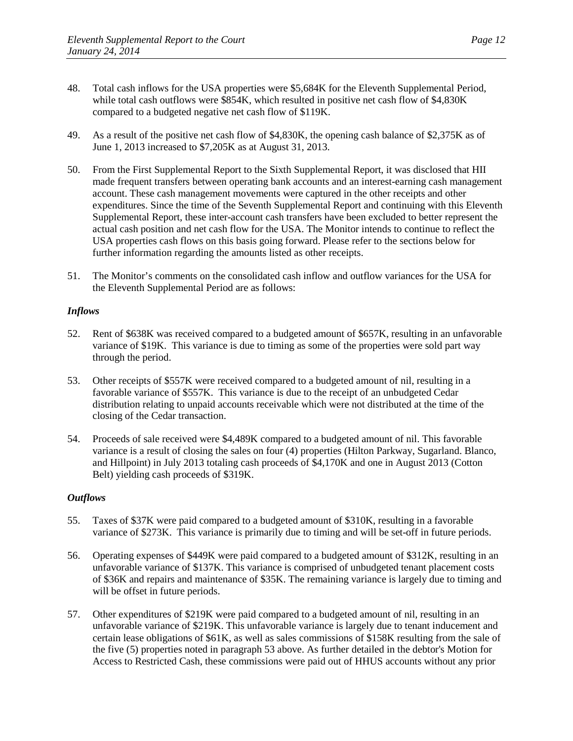- 48. Total cash inflows for the USA properties were \$5,684K for the Eleventh Supplemental Period, while total cash outflows were \$854K, which resulted in positive net cash flow of \$4,830K compared to a budgeted negative net cash flow of \$119K.
- 49. As a result of the positive net cash flow of \$4,830K, the opening cash balance of \$2,375K as of June 1, 2013 increased to \$7,205K as at August 31, 2013.
- 50. From the First Supplemental Report to the Sixth Supplemental Report, it was disclosed that HII made frequent transfers between operating bank accounts and an interest-earning cash management account. These cash management movements were captured in the other receipts and other expenditures. Since the time of the Seventh Supplemental Report and continuing with this Eleventh Supplemental Report, these inter-account cash transfers have been excluded to better represent the actual cash position and net cash flow for the USA. The Monitor intends to continue to reflect the USA properties cash flows on this basis going forward. Please refer to the sections below for further information regarding the amounts listed as other receipts.
- 51. The Monitor's comments on the consolidated cash inflow and outflow variances for the USA for the Eleventh Supplemental Period are as follows:

### *Inflows*

- 52. Rent of \$638K was received compared to a budgeted amount of \$657K, resulting in an unfavorable variance of \$19K. This variance is due to timing as some of the properties were sold part way through the period.
- 53. Other receipts of \$557K were received compared to a budgeted amount of nil, resulting in a favorable variance of \$557K. This variance is due to the receipt of an unbudgeted Cedar distribution relating to unpaid accounts receivable which were not distributed at the time of the closing of the Cedar transaction.
- 54. Proceeds of sale received were \$4,489K compared to a budgeted amount of nil. This favorable variance is a result of closing the sales on four (4) properties (Hilton Parkway, Sugarland. Blanco, and Hillpoint) in July 2013 totaling cash proceeds of \$4,170K and one in August 2013 (Cotton Belt) yielding cash proceeds of \$319K.

- 55. Taxes of \$37K were paid compared to a budgeted amount of \$310K, resulting in a favorable variance of \$273K. This variance is primarily due to timing and will be set-off in future periods.
- 56. Operating expenses of \$449K were paid compared to a budgeted amount of \$312K, resulting in an unfavorable variance of \$137K. This variance is comprised of unbudgeted tenant placement costs of \$36K and repairs and maintenance of \$35K. The remaining variance is largely due to timing and will be offset in future periods.
- 57. Other expenditures of \$219K were paid compared to a budgeted amount of nil, resulting in an unfavorable variance of \$219K. This unfavorable variance is largely due to tenant inducement and certain lease obligations of \$61K, as well as sales commissions of \$158K resulting from the sale of the five (5) properties noted in paragraph 53 above. As further detailed in the debtor's Motion for Access to Restricted Cash, these commissions were paid out of HHUS accounts without any prior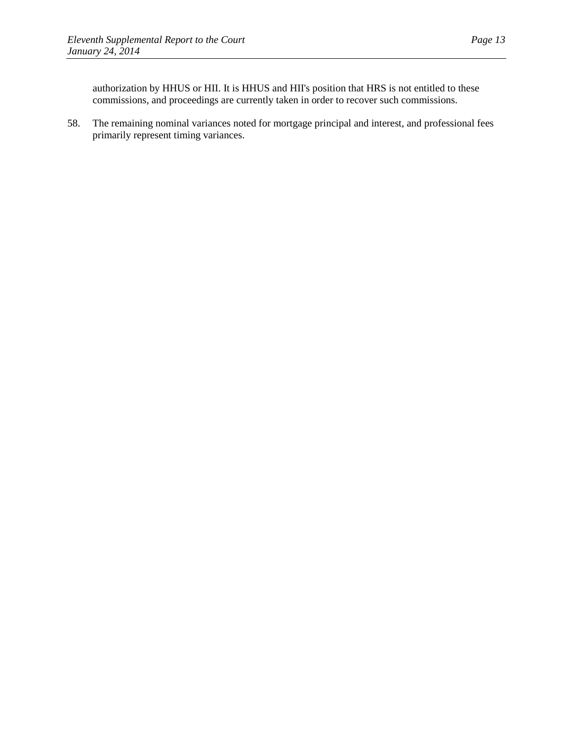authorization by HHUS or HII. It is HHUS and HII's position that HRS is not entitled to these commissions, and proceedings are currently taken in order to recover such commissions.

58. The remaining nominal variances noted for mortgage principal and interest, and professional fees primarily represent timing variances.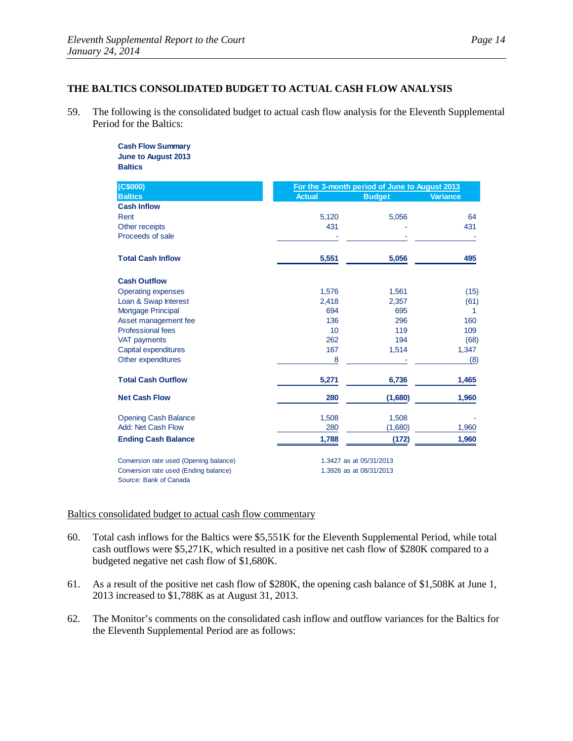## **THE BALTICS CONSOLIDATED BUDGET TO ACTUAL CASH FLOW ANALYSIS**

59. The following is the consolidated budget to actual cash flow analysis for the Eleventh Supplemental Period for the Baltics:

> **Cash Flow Summary June to August 2013 Baltics**

| (C\$000)                               | For the 3-month period of June to August 2013 |                         |                 |
|----------------------------------------|-----------------------------------------------|-------------------------|-----------------|
| <b>Baltics</b>                         | <b>Actual</b>                                 | <b>Budget</b>           | <b>Variance</b> |
| <b>Cash Inflow</b>                     |                                               |                         |                 |
| Rent                                   | 5,120                                         | 5,056                   | 64              |
| Other receipts                         | 431                                           |                         | 431             |
| Proceeds of sale                       |                                               |                         |                 |
| <b>Total Cash Inflow</b>               | 5,551                                         | 5,056                   | 495             |
| <b>Cash Outflow</b>                    |                                               |                         |                 |
| <b>Operating expenses</b>              | 1,576                                         | 1,561                   | (15)            |
| Loan & Swap Interest                   | 2,418                                         | 2,357                   | (61)            |
| <b>Mortgage Principal</b>              | 694                                           | 695                     | 1               |
| Asset management fee                   | 136                                           | 296                     | 160             |
| <b>Professional fees</b>               | 10                                            | 119                     | 109             |
| VAT payments                           | 262                                           | 194                     | (68)            |
| Capital expenditures                   | 167                                           | 1,514                   | 1,347           |
| Other expenditures                     | 8                                             |                         | (8)             |
| <b>Total Cash Outflow</b>              | 5,271                                         | 6,736                   | 1,465           |
| <b>Net Cash Flow</b>                   | 280                                           | (1,680)                 | 1,960           |
| <b>Opening Cash Balance</b>            | 1,508                                         | 1,508                   |                 |
| <b>Add: Net Cash Flow</b>              | 280                                           | (1,680)                 | 1,960           |
| <b>Ending Cash Balance</b>             | 1,788                                         | (172)                   | 1,960           |
| Conversion rate used (Opening balance) |                                               | 1.3427 as at 05/31/2013 |                 |
| Conversion rate used (Ending balance)  |                                               | 1.3926 as at 08/31/2013 |                 |

Source: Bank of Canada

### Baltics consolidated budget to actual cash flow commentary

- 60. Total cash inflows for the Baltics were \$5,551K for the Eleventh Supplemental Period, while total cash outflows were \$5,271K, which resulted in a positive net cash flow of \$280K compared to a budgeted negative net cash flow of \$1,680K.
- 61. As a result of the positive net cash flow of \$280K, the opening cash balance of \$1,508K at June 1, 2013 increased to \$1,788K as at August 31, 2013.
- 62. The Monitor's comments on the consolidated cash inflow and outflow variances for the Baltics for the Eleventh Supplemental Period are as follows: